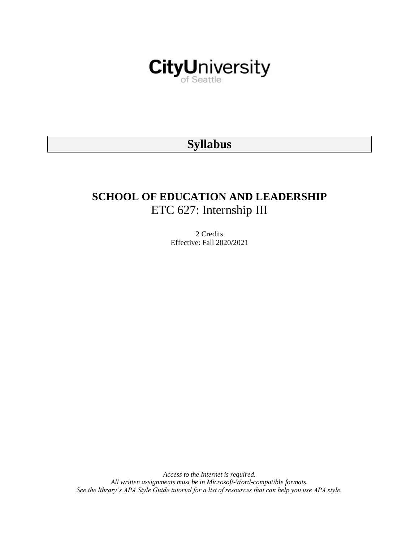

# **Syllabus**

# **SCHOOL OF EDUCATION AND LEADERSHIP** ETC 627: Internship III

2 Credits Effective: Fall 2020/2021

*Access to the Internet is required. All written assignments must be in Microsoft-Word-compatible formats. See the library's APA Style Guide tutorial for a list of resources that can help you use APA style.*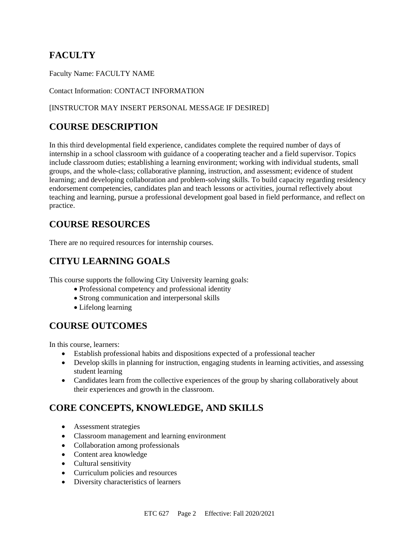# **FACULTY**

Faculty Name: FACULTY NAME

Contact Information: CONTACT INFORMATION

### [INSTRUCTOR MAY INSERT PERSONAL MESSAGE IF DESIRED]

# **COURSE DESCRIPTION**

In this third developmental field experience, candidates complete the required number of days of internship in a school classroom with guidance of a cooperating teacher and a field supervisor. Topics include classroom duties; establishing a learning environment; working with individual students, small groups, and the whole-class; collaborative planning, instruction, and assessment; evidence of student learning; and developing collaboration and problem-solving skills. To build capacity regarding residency endorsement competencies, candidates plan and teach lessons or activities, journal reflectively about teaching and learning, pursue a professional development goal based in field performance, and reflect on practice.

## **COURSE RESOURCES**

There are no required resources for internship courses.

# **CITYU LEARNING GOALS**

This course supports the following City University learning goals:

- Professional competency and professional identity
- Strong communication and interpersonal skills
- Lifelong learning

## **COURSE OUTCOMES**

In this course, learners:

- Establish professional habits and dispositions expected of a professional teacher
- Develop skills in planning for instruction, engaging students in learning activities, and assessing student learning
- Candidates learn from the collective experiences of the group by sharing collaboratively about their experiences and growth in the classroom.

# **CORE CONCEPTS, KNOWLEDGE, AND SKILLS**

- Assessment strategies
- Classroom management and learning environment
- Collaboration among professionals
- Content area knowledge
- Cultural sensitivity
- Curriculum policies and resources
- Diversity characteristics of learners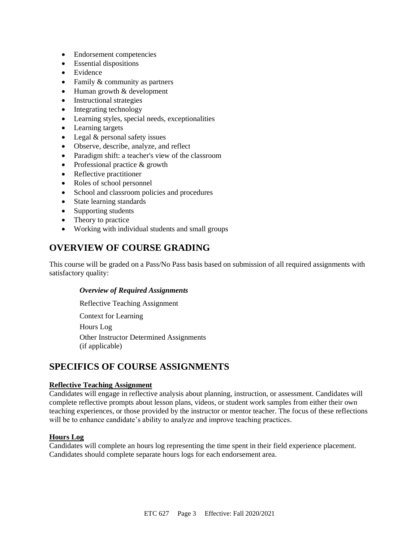- Endorsement competencies
- Essential dispositions
- Evidence
- Family & community as partners
- Human growth & development
- Instructional strategies
- Integrating technology
- Learning styles, special needs, exceptionalities
- Learning targets
- Legal & personal safety issues
- Observe, describe, analyze, and reflect
- Paradigm shift: a teacher's view of the classroom
- Professional practice & growth
- Reflective practitioner
- Roles of school personnel
- School and classroom policies and procedures
- State learning standards
- Supporting students
- Theory to practice
- Working with individual students and small groups

### **OVERVIEW OF COURSE GRADING**

This course will be graded on a Pass/No Pass basis based on submission of all required assignments with satisfactory quality:

#### *Overview of Required Assignments*

Reflective Teaching Assignment

Context for Learning Hours Log

Other Instructor Determined Assignments (if applicable)

### **SPECIFICS OF COURSE ASSIGNMENTS**

#### **Reflective Teaching Assignment**

Candidates will engage in reflective analysis about planning, instruction, or assessment. Candidates will complete reflective prompts about lesson plans, videos, or student work samples from either their own teaching experiences, or those provided by the instructor or mentor teacher. The focus of these reflections will be to enhance candidate's ability to analyze and improve teaching practices.

#### **Hours Log**

Candidates will complete an hours log representing the time spent in their field experience placement. Candidates should complete separate hours logs for each endorsement area.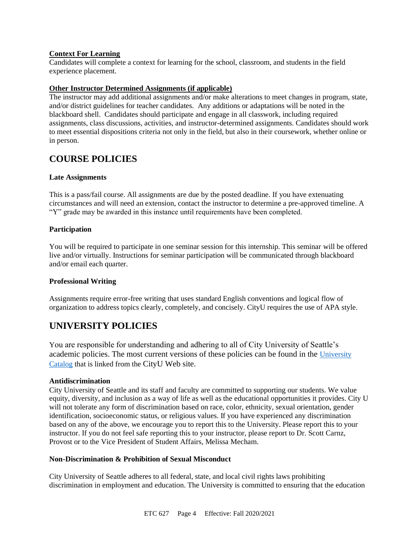#### **Context For Learning**

Candidates will complete a context for learning for the school, classroom, and students in the field experience placement.

#### **Other Instructor Determined Assignments (if applicable)**

The instructor may add additional assignments and/or make alterations to meet changes in program, state, and/or district guidelines for teacher candidates. Any additions or adaptations will be noted in the blackboard shell. Candidates should participate and engage in all classwork, including required assignments, class discussions, activities, and instructor-determined assignments. Candidates should work to meet essential dispositions criteria not only in the field, but also in their coursework, whether online or in person.

### **COURSE POLICIES**

#### **Late Assignments**

This is a pass/fail course. All assignments are due by the posted deadline. If you have extenuating circumstances and will need an extension, contact the instructor to determine a pre-approved timeline. A "Y" grade may be awarded in this instance until requirements have been completed.

#### **Participation**

You will be required to participate in one seminar session for this internship. This seminar will be offered live and/or virtually. Instructions for seminar participation will be communicated through blackboard and/or email each quarter.

#### **Professional Writing**

Assignments require error-free writing that uses standard English conventions and logical flow of organization to address topics clearly, completely, and concisely. CityU requires the use of APA style.

### **UNIVERSITY POLICIES**

You are responsible for understanding and adhering to all of City University of Seattle's academic policies. The most current versions of these policies can be found in the [University](https://www.cityu.edu/catalog/)  [Catalog](https://www.cityu.edu/catalog/) that is linked from the CityU Web site.

#### **Antidiscrimination**

City University of Seattle and its staff and faculty are committed to supporting our students. We value equity, diversity, and inclusion as a way of life as well as the educational opportunities it provides. City U will not tolerate any form of discrimination based on race, color, ethnicity, sexual orientation, gender identification, socioeconomic status, or religious values. If you have experienced any discrimination based on any of the above, we encourage you to report this to the University. Please report this to your instructor. If you do not feel safe reporting this to your instructor, please report to Dr. Scott Carnz, Provost or to the Vice President of Student Affairs, Melissa Mecham.

#### **Non-Discrimination & Prohibition of Sexual Misconduct**

City University of Seattle adheres to all federal, state, and local civil rights laws prohibiting discrimination in employment and education. The University is committed to ensuring that the education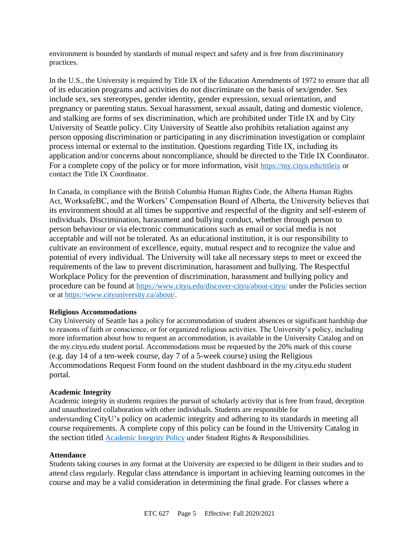environment is bounded by standards of mutual respect and safety and is free from discriminatory practices.

In the U.S., the University is required by Title IX of the Education Amendments of 1972 to ensure that all of its education programs and activities do not discriminate on the basis of sex/gender. Sex include sex, sex stereotypes, gender identity, gender expression, sexual orientation, and pregnancy or parenting status. Sexual harassment, sexual assault, dating and domestic violence, and stalking are forms of sex discrimination, which are prohibited under Title IX and by City University of Seattle policy. City University of Seattle also prohibits retaliation against any person opposing discrimination or participating in any discrimination investigation or complaint process internal or external to the institution. Questions regarding Title IX, including its application and/or concerns about noncompliance, should be directed to the Title IX Coordinator. For a complete copy of the policy or for more information, visit <https://my.cityu.edu/titleix> or contact the Title IX Coordinator.

In Canada, in compliance with the British Columbia Human Rights Code, the Alberta Human Rights Act, WorksafeBC, and the Workers' Compensation Board of Alberta, the University believes that its environment should at all times be supportive and respectful of the dignity and self-esteem of individuals. Discrimination, harassment and bullying conduct, whether through person to person behaviour or via electronic communications such as email or social media is not acceptable and will not be tolerated. As an educational institution, it is our responsibility to cultivate an environment of excellence, equity, mutual respect and to recognize the value and potential of every individual. The University will take all necessary steps to meet or exceed the requirements of the law to prevent discrimination, harassment and bullying. The Respectful Workplace Policy for the prevention of discrimination, harassment and bullying policy and procedure can be found at <https://www.cityu.edu/discover-cityu/about-cityu/> under the Policies section or at <https://www.cityuniversity.ca/about/>.

#### **Religious Accommodations**

City University of Seattle has a policy for accommodation of student absences or significant hardship due to reasons of faith or conscience, or for organized religious activities. The University's policy, including more information about how to request an accommodation, is available in the University Catalog and on the my.cityu.edu student portal. Accommodations must be requested by the 20% mark of this course (e.g. day 14 of a ten-week course, day 7 of a 5-week course) using the Religious Accommodations Request Form found on the student dashboard in the my.cityu.edu student portal.

#### **Academic Integrity**

Academic integrity in students requires the pursuit of scholarly activity that is free from fraud, deception and unauthorized collaboration with other individuals. Students are responsible for understanding CityU's policy on academic integrity and adhering to its standards in meeting all course requirements. A complete copy of this policy can be found in the University Catalog in the section titled [Academic Integrity Policy](https://www.cityu.edu/catalog/;) under Student Rights & Responsibilities.

#### **Attendance**

Students taking courses in any format at the University are expected to be diligent in their studies and to attend class regularly. Regular class attendance is important in achieving learning outcomes in the course and may be a valid consideration in determining the final grade. For classes where a